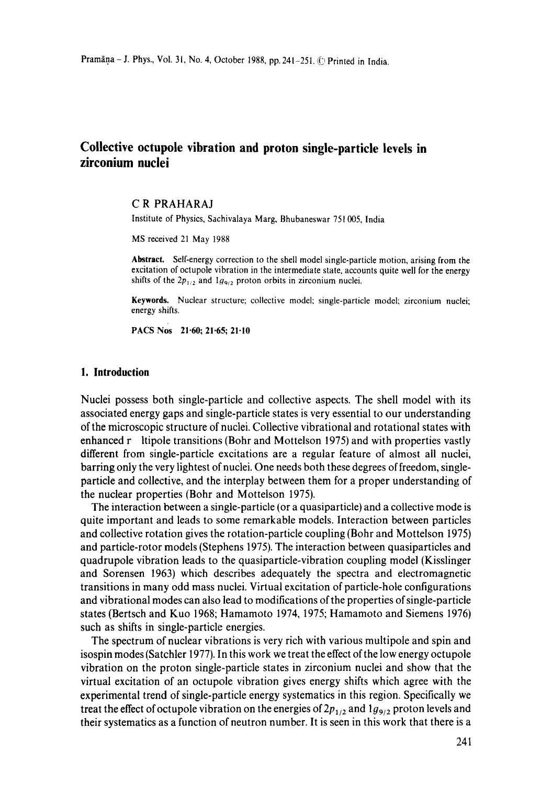# **Collective octupole vibration and proton single-particle levels in zirconium nuclei**

#### C R PRAHARAJ

Institute of Physics, Sachivalaya Marg, Bhubaneswar 751 005, India

MS received 21 May 1988

**Abstract.** Self-energy correction to the shell model single-particle motion, arising from the excitation of octupole vibration in the intermediate state, accounts quite well for the energy shifts of the  $2p_{1/2}$  and  $1q_{9/2}$  proton orbits in zirconium nuclei.

Keywords. Nuclear structure; collective model; single-particle model; zirconium nuclei; energy shifts.

PACS Nos 21.60; 21.65; 21.10

#### **1. Introduction**

Nuclei possess both single-particle and collective aspects. The shell model with its associated energy gaps and single-particle states is very essential to our understanding of the microscopic structure of nuclei. Collective vibrational and rotational states with enhanced r ltipole transitions (Bohr and Mottelson 1975) and with properties vastly different from single-particle excitations are a regular feature of almost all nuclei, barring only the very lightest of nuclei. One needs both these degrees of freedom, singleparticle and collective, and the interplay between them for a proper understanding of the nuclear properties (Bohr and Mottelson 1975).

The interaction between a single-particle (or a quasiparticle) and a collective mode is quite important and leads to some remarkable models. Interaction between particles and collective rotation gives the rotation-particle coupling (Bohr and Mottelson 1975) and particle-rotor models (Stephens 1975). The interaction between quasiparticles and quadrupole vibration leads to the quasiparticle-vibration coupling model (Kisslinger and Sorensen 1963) which describes adequately the spectra and electromagnetic transitions in many odd mass nuclei. Virtual excitation of particle-hole configurations and vibrational modes can also lead to modifications of the properties of single-particle states (Bertsch and Kuo 1968; Hamamoto 1974, 1975; Hamamoto and Siemens 1976) such as shifts in single-particle energies.

The spectrum of nuclear vibrations is very rich with various multipole and spin and isospin modes (Satchler 1977). In this work we treat the effect of the low energy octupole vibration on the proton single-particle states in zirconium nuclei and show that the virtual excitation of an octupole vibration gives energy shifts which agree with the experimental trend of single-particle energy systematics in this region. Specifically we treat the effect of octupole vibration on the energies of  $2p_{1/2}$  and  $1g_{9/2}$  proton levels and their systematics as a function of neutron number. It is seen in this work that there is a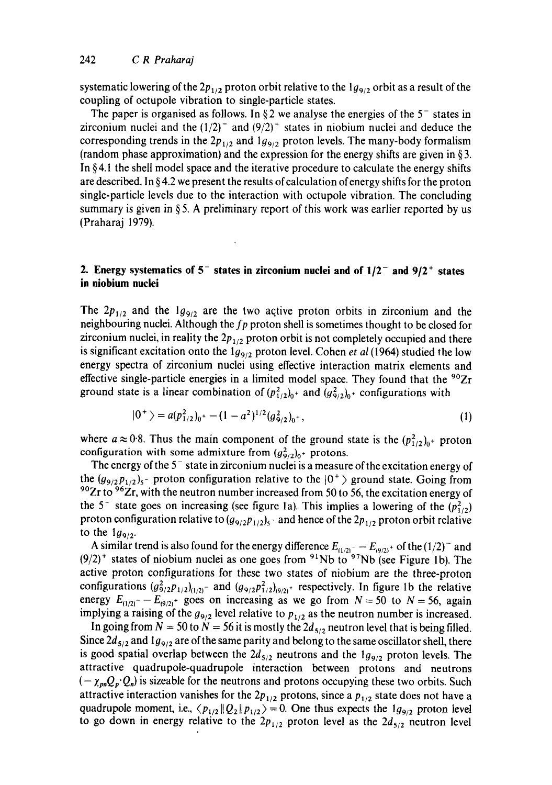systematic lowering of the  $2p_{1/2}$  proton orbit relative to the  $1g_{9/2}$  orbit as a result of the coupling of octupole vibration to single-particle states.

The paper is organised as follows. In §2 we analyse the energies of the  $5^-$  states in zirconium nuclei and the  $(1/2)^{-}$  and  $(9/2)^{+}$  states in niobium nuclei and deduce the corresponding trends in the  $2p_{1/2}$  and  $1g_{9/2}$  proton levels. The many-body formalism (random phase approximation) and the expression for the energy shifts are given in § 3, In §4.1 the shell model space and the iterative procedure to calculate the energy shifts are described. In §4.2 we present the results of calculation of energy shifts for the proton single-particle levels due to the interaction with octupole vibration. The concluding summary is given in § 5. A preliminary report of this work was earlier reported by us (Praharaj 1979).

## **2. Energy systematics of 5<sup>-</sup> states in zirconium nuclei and of**  $1/2$ **<sup>-</sup> and**  $9/2$ **<sup>+</sup> states in niobium nuclei**

The  $2p_{1/2}$  and the  $1g_{9/2}$  are the two active proton orbits in zirconium and the neighbouring nuclei. Although the *fp* proton shell is sometimes thought to be closed for zirconium nuclei, in reality the  $2p_{1/2}$  proton orbit is not completely occupied and there is significant excitation onto the 1<sub>99/2</sub> proton level. Cohen *et al* (1964) studied the low energy spectra of zirconium nuclei using effective interaction matrix elements and effective single-particle energies in a limited model space. They found that the  $90Zr$ ground state is a linear combination of  $(p_{1/2}^2)_{0}$  and  $(q_{9/2}^2)_{0}$  configurations with

$$
|0^{+}\rangle = a(p_{1/2}^{2})_{0^{+}} - (1 - a^{2})^{1/2} (g_{9/2}^{2})_{0^{+}},
$$
\n(1)

where  $a \approx 0.8$ . Thus the main component of the ground state is the  $(p_{1/2})_{0+}$  proton configuration with some admixture from  $(g_{9/200}^2)^+$  protons.

The energy of the  $5^-$  state in zirconium nuclei is a measure of the excitation energy of the  $(g_{9/2}p_{1/2})_5$ - proton configuration relative to the  $|0^+\rangle$  ground state. Going from <sup>90</sup>Zr to <sup>96</sup>Zr, with the neutron number increased from 50 to 56, the excitation energy of the 5<sup>-</sup> state goes on increasing (see figure 1a). This implies a lowering of the  $(p_{1/2}^2)$ proton configuration relative to  $(g_{9/2}p_{1/2})_5$  and hence of the  $2p_{1/2}$  proton orbit relative to the  $1g_{9/2}$ .

A similar trend is also found for the energy difference  $E_{(1/2)^{-}} - E_{(9/2)^{+}}$  of the  $(1/2)^{-}$  and  $(9/2)^+$  states of niobium nuclei as one goes from <sup>91</sup>Nb to <sup>97</sup>Nb (see Figure 1b). The active proton configurations for these two states of niobium are the three-proton configurations  $(g_{9/2}^2 p_{1/2})_{(1/2)}$ - and  $(g_{9/2} p_{1/2}^2)_{(9/2)}$ - respectively. In figure 1b the relative energy  $E_{(1/2)}$ - $E_{(9/2)}$ + goes on increasing as we go from  $N = 50$  to  $N = 56$ , again implying a raising of the  $g_{9/2}$  level relative to  $p_{1/2}$  as the neutron number is increased.

In going from  $N = 50$  to  $N = 56$  it is mostly the  $2d_{5/2}$  neutron level that is being filled. Since  $2d_{5/2}$  and  $1g_{9/2}$  are of the same parity and belong to the same oscillator shell, there is good spatial overlap between the  $2d_{5/2}$  neutrons and the  $1g_{9/2}$  proton levels. The attractive quadrupole-quadrupole interaction between protons and neutrons  $(-\chi_{pn}Q_p \cdot Q_n)$  is sizeable for the neutrons and protons occupying these two orbits. Such attractive interaction vanishes for the  $2p_{1/2}$  protons, since a  $p_{1/2}$  state does not have a quadrupole moment, i.e.,  $\langle p_{1/2} || Q_2 || p_{1/2} \rangle = 0$ . One thus expects the  $1g_{9/2}$  proton level to go down in energy relative to the  $2p_{1/2}$  proton level as the  $2d_{5/2}$  neutron level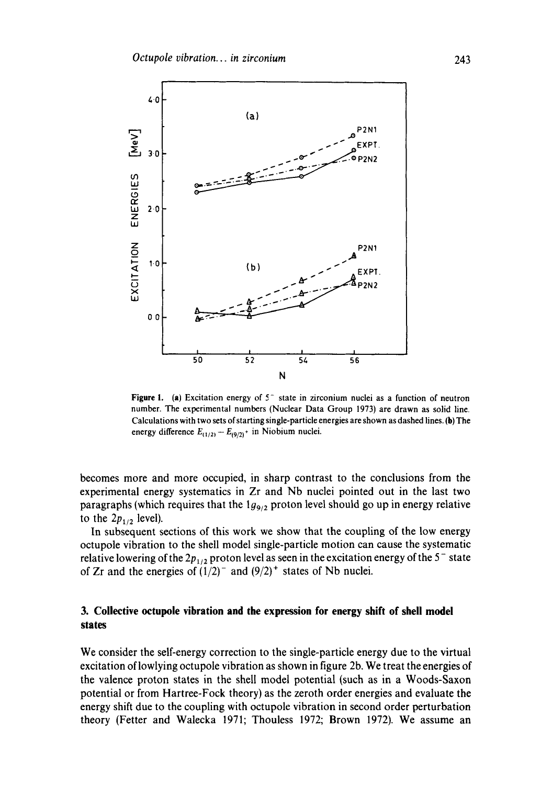

**Figure 1.** (a) Excitation energy of 5<sup>-</sup> state in zirconium nuclei as a function of neutron number. The experimental numbers (Nuclear Data Group 1973) are drawn as solid line. Calculations with two sets of starting single-particle energies are shown as dashed lines. (b) The energy difference  $E_{(1/2)} - E_{(9/2)}$  in Niobium nuclei.

becomes more and more occupied, in sharp contrast to the conclusions from the experimental energy systematics in Zr and Nb nuclei pointed out in the last two paragraphs (which requires that the  $1g_{9/2}$  proton level should go up in energy relative to the  $2p_{1/2}$  level).

In subsequent sections of this work we show that the coupling of the low energy octupole vibration to the shell model single-particle motion can cause the systematic relative lowering of the  $2p_{1/2}$  proton level as seen in the excitation energy of the 5<sup>-</sup> state of Zr and the energies of  $(1/2)^{-}$  and  $(9/2)^{+}$  states of Nb nuclei.

## **3. Collective octupole vibration and the expression for energy shift of shell model states**

We consider the self-energy correction to the single-particle energy due to the virtual excitation oflowlying octupole vibration as shown in figure 2b. We treat the energies of the valence proton states in the shell model potential (such as in a Woods-Saxon potential or from Hartree-Fock theory) as the zeroth order energies and evaluate the energy shift due to the coupling with octupole vibration in second order perturbation theory (Fetter and Walecka 1971; Thouless 1972; Brown 1972). We assume an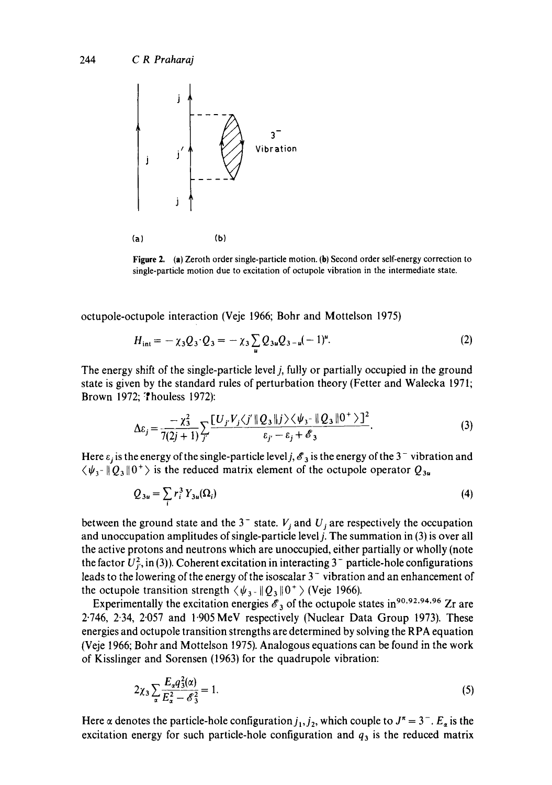

Figure 2. (a) Zeroth order single-particle motion. (b) Second order self-energy correction to single-particle motion due to excitation of octupole vibration in the intermediate state.

octupole-octupole interaction (Veje 1966; Bohr and Mottelson 1975)

$$
H_{\rm int} = -\chi_3 Q_3 \cdot Q_3 = -\chi_3 \sum_{u} Q_{3u} Q_{3-u} (-1)^{u}.
$$
 (2)

The energy shift of the single-particle level j, fully or partially occupied in the ground state is given by the standard rules of perturbation theory (Fetter and Walecka 1971; Brown 1972; Thouless 1972):

$$
\Delta \varepsilon_j = \frac{-\chi_3^2}{7(2j+1)} \sum_{j'} \frac{\left[U_j V_j \langle j' \|\mathcal{Q}_3\|j\rangle \langle \psi_3 - \|\mathcal{Q}_3\|0^+\rangle\right]^2}{\varepsilon_{j'} - \varepsilon_j + \mathscr{E}_3}.\tag{3}
$$

Here  $\varepsilon_j$  is the energy of the single-particle level j,  $\mathscr{E}_3$  is the energy of the 3<sup>-</sup> vibration and  $\langle \psi_{3}|\psi_{3}|\psi_{2}|\psi_{3}|\psi_{4}\rangle$  is the reduced matrix element of the octupole operator  $Q_{3u}$ 

$$
Q_{3u} = \sum_{i} r_i^3 Y_{3u}(\Omega_i)
$$
 (4)

between the ground state and the  $3^-$  state.  $V_j$  and  $U_j$  are respectively the occupation and unoccupation amplitudes of single-particle level *j*. The summation in (3) is over all the active protons and neutrons which are unoccupied, either partially or wholly (note the factor  $U_f^2$ , in (3)). Coherent excitation in interacting 3<sup>-</sup> particle-hole configurations leads to the lowering of the energy of the isoscalar  $3<sup>-</sup>$  vibration and an enhancement of the octupole transition strength  $\langle \psi_3, \psi_2 | 0^+ \rangle$  (Veje 1966).

Experimentally the excitation energies  $\mathscr{E}_3$  of the octupole states in <sup>90,92,94,96</sup> Zr are 2.746, 2.34, 2.057 and 1"905 MeV respectively (Nuclear Data Group 1973). These energies and octupole transition strengths are determined by solving the RPA equation (Veje 1966; Bohr and Mottelson 1975). Analogous equations can be found in the work of Kisslinger and Sorensen (1963) for the quadrupole vibration:

$$
2\chi_3 \sum_{\alpha} \frac{E_{\alpha} q_3^2(\alpha)}{E_{\alpha}^2 - \mathscr{E}_3^2} = 1. \tag{5}
$$

Here  $\alpha$  denotes the particle-hole configuration  $j_1, j_2$ , which couple to  $J^{\pi} = 3^{-}$ .  $E_{\alpha}$  is the excitation energy for such particle-hole configuration and  $q_3$  is the reduced matrix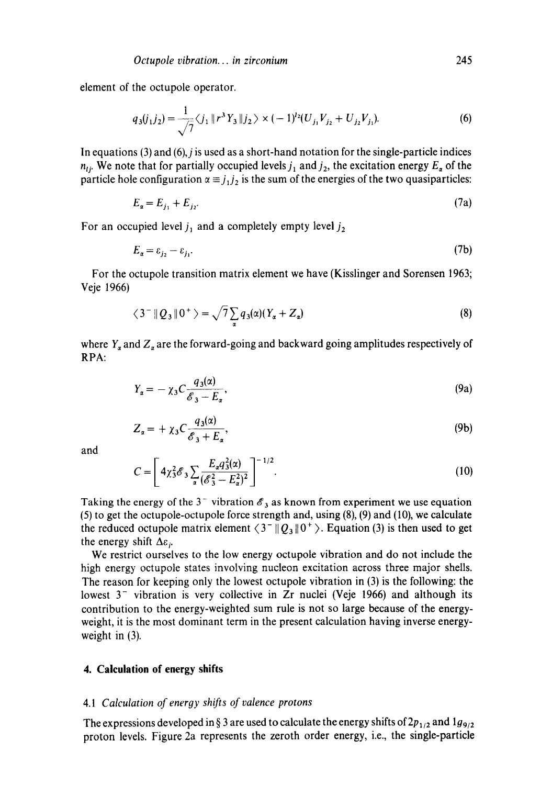element of the octupole operator.

$$
q_3(j_1j_2) = \frac{1}{\sqrt{7}} \langle j_1 \parallel r^3 Y_3 \parallel j_2 \rangle \times (-1)^{j_2} (U_{j_1} V_{j_2} + U_{j_2} V_{j_1}).
$$
 (6)

In equations  $(3)$  and  $(6)$ , *j* is used as a short-hand notation for the single-particle indices  $n_{ij}$ . We note that for partially occupied levels  $j_1$  and  $j_2$ , the excitation energy  $E_a$  of the particle hole configuration  $\alpha \equiv j_1 j_2$  is the sum of the energies of the two quasiparticles:

$$
E_a = E_{j_1} + E_{j_2}.
$$
 (7a)

For an occupied level  $j_1$  and a completely empty level  $j_2$ 

$$
E_a = \varepsilon_{j_2} - \varepsilon_{j_1}.\tag{7b}
$$

For the octupole transition matrix element we have (Kisslinger and Sorensen 1963; Veje 1966)

$$
\langle 3^{-} \| Q_3 \| 0^{+} \rangle = \sqrt{7} \sum_{\alpha} q_3(\alpha) (Y_{\alpha} + Z_{\alpha})
$$
 (8)

where  $Y_{\alpha}$  and  $Z_{\alpha}$  are the forward-going and backward going amplitudes respectively of RPA:

$$
Y_{\alpha} = -\chi_3 C \frac{q_3(\alpha)}{\mathcal{E}_3 - E_{\alpha}},\tag{9a}
$$

$$
Z_{\alpha} = + \chi_3 C \frac{q_3(\alpha)}{\mathcal{E}_3 + E_{\alpha}},\tag{9b}
$$

and

$$
C = \left[ 4\chi_3^2 \mathcal{E}_3 \sum_{\alpha} \frac{E_{\alpha} q_3^2(\alpha)}{(\mathcal{E}_3^2 - E_{\alpha}^2)^2} \right]^{-1/2}.
$$
 (10)

Taking the energy of the 3<sup>-</sup> vibration  $\mathscr{E}_3$  as known from experiment we use equation (5) to get the octupole-octupole force strength and, using (8), (9) and (10), we calculate the reduced octupole matrix element  $\langle 3^{-} || Q_3 || 0^{+} \rangle$ . Equation (3) is then used to get the energy shift  $\Delta \varepsilon_i$ .

We restrict ourselves to the low energy octupole vibration and do not include the high energy octupole states involving nucleon excitation across three major shells. The reason for keeping only the lowest octupole vibration in (3) is the following: the lowest  $3^-$  vibration is very collective in Zr nuclei (Veje 1966) and although its contribution to the energy-weighted sum rule is not so large because of the energyweight, it is the most dominant term in the present calculation having inverse energyweight in (3).

## **4. Calculation of energy shifts**

#### *4.1 Calculation of energy shifts of valence protons*

The expressions developed in § 3 are used to calculate the energy shifts of  $2p_{1/2}$  and  $1g_{9/2}$ proton levels. Figure 2a represents the zeroth order energy, i.e., the single-particle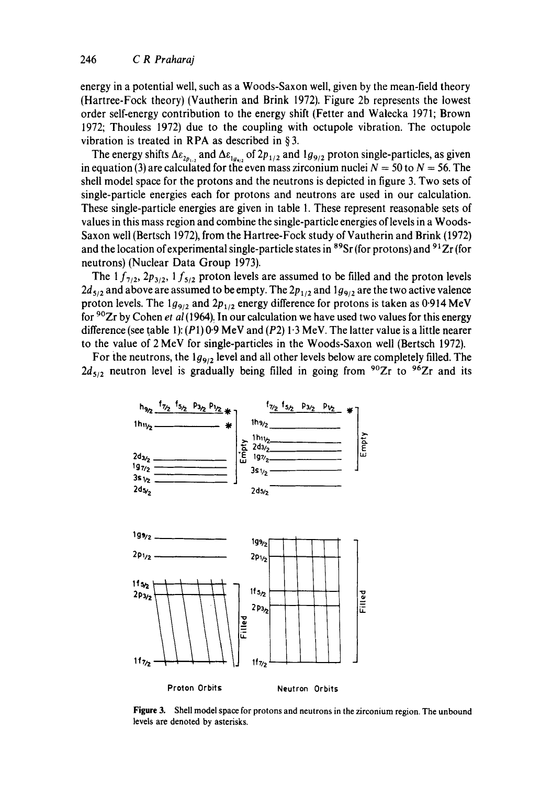energy in a potential well, such as a Woods-Saxon well, given by the mean-field theory (Hartree-Fock theory) (Vautherin and Brink 1972). Figure 2b represents the lowest order self-energy contribution to the energy shift (Fetter and Walecka 1971; Brown 1972; Thouless 1972) due to the coupling with octupole vibration. The octupole vibration is treated in RPA as described in § 3.

The energy shifts  $\Delta \varepsilon_{2p_{1,2}}$  and  $\Delta \varepsilon_{1q_{9,2}}$  of  $2p_{1/2}$  and  $1g_{9/2}$  proton single-particles, as given in equation (3) are calculated for the even mass zirconium nuclei  $N = 50$  to  $N = 56$ . The shell model space for the protons and the neutrons is depicted in figure 3. Two sets of single-particle energies each for protons and neutrons are used in our calculation. These single-particle energies are given in table 1. These represent reasonable sets of values in this mass region and combine the single-particle energies of levels in a Woods-Saxon well (Bertsch 1972), from the Hartree-Fock study of Vautherin and Brink (1972) and the location of experimental single-particle states in  $89Sr$  (for protons) and  $91Zr$  (for neutrons) (Nuclear Data Group 1973).

The  $1 f_{7/2}$ ,  $2 p_{3/2}$ ,  $1 f_{5/2}$  proton levels are assumed to be filled and the proton levels  $2d_{5/2}$  and above are assumed to be empty. The  $2p_{1/2}$  and  $1g_{9/2}$  are the two active valence proton levels. The  $1g_{9/2}$  and  $2p_{1/2}$  energy difference for protons is taken as 0.914 MeV for 9°Zr by Cohen *et al* (1964). In our calculation we have used two values for this energy difference (see table 1): (P1) 0.9 MeV and (P2) 1.3 MeV. The latter value is a little nearer to the value of 2 MeV for single-particles in the Woods-Saxon well (Bertsch 1972).

For the neutrons, the  $1g_{9/2}$  level and all other levels below are completely filled. The  $2d_{5/2}$  neutron level is gradually being filled in going from <sup>90</sup>Zr to <sup>96</sup>Zr and its



**Figure** 3. Shell model space for protons and neutrons in the zirconium region. The unbound levels are denoted by asterisks.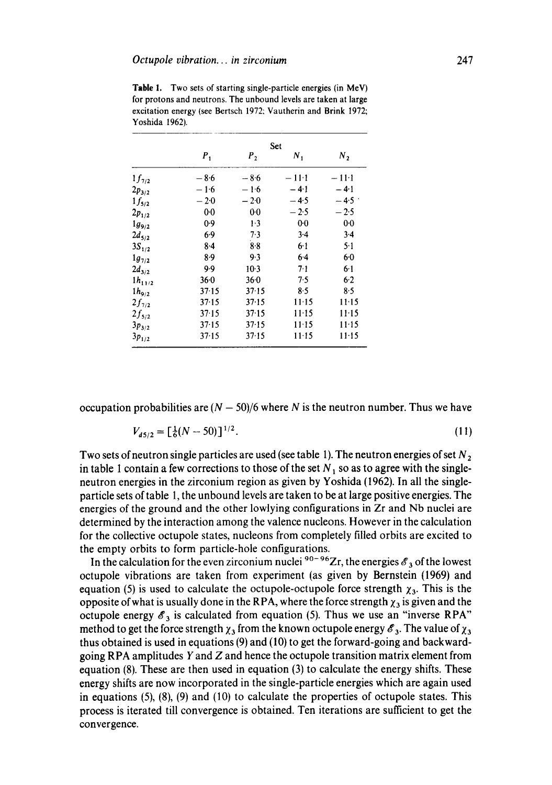|             | Set     |                |           |         |  |  |
|-------------|---------|----------------|-----------|---------|--|--|
|             | $P_{1}$ | P <sub>2</sub> | Ν.        | $N_{2}$ |  |  |
| $1f_{7/2}$  | $-8.6$  | $-8.6$         | $-11:1$   | $-11-1$ |  |  |
| $2p_{3/2}$  | $-1.6$  | $-1.6$         | $-4.1$    | $-4.1$  |  |  |
| $1f_{5/2}$  | $-2.0$  | $-2.0$         | $-4.5$    | $-4.5$  |  |  |
| $2p_{1/2}$  | 00      | 0 <sub>0</sub> | $-2.5$    | $-2.5$  |  |  |
| $1g_{9/2}$  | 0.9     | 1.3            | 00        | 00      |  |  |
| $2d_{5/2}$  | 6.9     | 7.3            | 3.4       | 3.4     |  |  |
| $3S_{1/2}$  | $8-4$   | 8.8            | 6.1       | $5-1$   |  |  |
| $1g_{7/2}$  | 8.9     | 93             | $6-4$     | 60      |  |  |
| $2d_{3/2}$  | 9.9     | $10-3$         | $7-1$     | $6-1$   |  |  |
| $1h_{11/2}$ | 36.0    | 360            | 7.5       | 6.2     |  |  |
| $1h_{9/2}$  | 37.15   | 37 15          | 8.5       | 8.5     |  |  |
| $2f_{7/2}$  | 37.15   | 37.15          | $11-15$   | $11-15$ |  |  |
| $2f_{5/2}$  | 37.15   | 37.15          | $11-15$   | $11-15$ |  |  |
| $3p_{3/2}$  | 37.15   | 37.15          | $11 - 15$ | $11-15$ |  |  |
| $3p_{1/2}$  | 37.15   | 37.15          | $11 - 15$ | 11:15   |  |  |

**Table** 1. Two sets of starting single-particle energies (in MeV) for protons and neutrons. The unbound levels are taken at large excitation energy (see Bertsch 1972; Vautherin and Brink 1972; Yoshida 1962).

occupation probabilities are  $(N - 50)/6$  where N is the neutron number. Thus we have

$$
V_{d5/2} = \left[\frac{1}{6}(N-50)\right]^{1/2}.\tag{11}
$$

Two sets of neutron single particles are used (see table 1). The neutron energies of set  $N<sub>2</sub>$ in table 1 contain a few corrections to those of the set  $N_1$  so as to agree with the singleneutron energies in the zirconium region as given by Yoshida (1962). In all the singleparticle sets of table 1, the unbound levels are taken to be at large positive energies. The energies of the ground and the other lowlying configurations in Zr and Nb nuclei are determined by the interaction among the valence nucleons. However in the calculation for the collective octupole states, nucleons from completely filled orbits are excited to the empty orbits to form particle-hole configurations.

In the calculation for the even zirconium nuclei  $90-96$  Zr, the energies  $\mathscr{E}_3$  of the lowest octupole vibrations are taken from experiment (as given by Bernstein (1969) and equation (5) is used to calculate the octupole-octupole force strength  $\chi_3$ . This is the opposite of what is usually done in the RPA, where the force strength  $\chi_3$  is given and the octupole energy  $\mathscr{E}_3$  is calculated from equation (5). Thus we use an "inverse RPA" method to get the force strength  $\chi_3$  from the known octupole energy  $\mathscr{E}_3$ . The value of  $\chi_3$ thus obtained is used in equations (9) and (10) to get the forward-going and backwardgoing RPA amplitudes Y and Z and hence the octupole transition matrix element from equation (8). These are then used in equation (3) to calculate the energy shifts. These energy shifts are now incorporated in the single-particle energies which are again used in equations (5), (8), (9) and (10) to calculate the properties of octupole states. This process is iterated till convergence is obtained. Ten iterations are sufficient to get the convergence.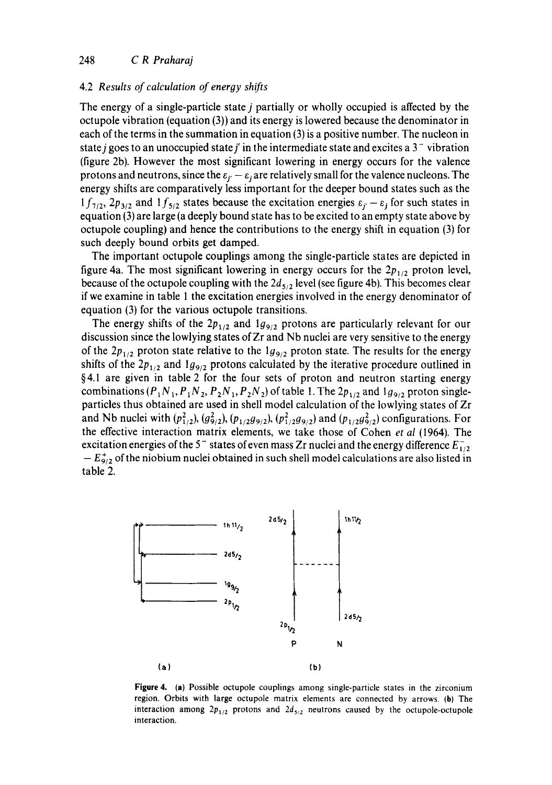#### 4.2 *Results of calculation of energy shifts*

The energy of a single-particle state  $j$  partially or wholly occupied is affected by the octupole vibration (equation (3)) and its energy is lowered because the denominator in each of the terms in the summation in equation (3) is a positive number. The nucleon in state j goes to an unoccupied state j' in the intermediate state and excites a  $3<sup>-</sup>$  vibration (figure 2b). However the most significant lowering in energy occurs for the valence protons and neutrons, since the  $\varepsilon_{i'} - \varepsilon_{i}$  are relatively small for the valence nucleons. The energy shifts are comparatively less important for the deeper bound states such as the  $1f_{7/2}$ ,  $2p_{3/2}$  and  $1f_{5/2}$  states because the excitation energies  $\varepsilon_{i'}-\varepsilon_{j}$  for such states in equation (3) are large (a deeply bound state has to be excited to an empty state above by octupole coupling) and hence the contributions to the energy shift in equation (3) for such deeply bound orbits get damped.

The important octupole couplings among the single-particle states are depicted in figure 4a. The most significant lowering in energy occurs for the  $2p_{1/2}$  proton level, because of the octupole coupling with the  $2d_{5/2}$  level (see figure 4b). This becomes clear if we examine in table 1 the excitation energies involved in the energy denominator of equation (3) for the various octupole transitions.

The energy shifts of the  $2p_{1/2}$  and  $1g_{9/2}$  protons are particularly relevant for our discussion since the lowlying states of Zr and Nb nuclei are very sensitive to the energy of the  $2p_{1/2}$  proton state relative to the  $1g_{9/2}$  proton state. The results for the energy shifts of the  $2p_{1/2}$  and  $1g_{9/2}$  protons calculated by the iterative procedure outlined in  $§4.1$  are given in table 2 for the four sets of proton and neutron starting energy combinations  $(P_1N_1, P_1N_2, P_2N_1, P_2N_2)$  of table 1. The  $2p_{1/2}$  and  $1g_{9/2}$  proton singleparticles thus obtained are used in shell model calculation of the lowlying states of Zr and Nb nuclei with  $(p_{1/2}^2)$ ,  $(g_{9/2}^2)$ ,  $(p_{1/2}g_{9/2})$ ,  $(p_{1/2}^2g_{9/2})$  and  $(p_{1/2}g_{9/2}^2)$  configurations. For the effective interaction matrix elements, we take those of Cohen *et al* (1964). The excitation energies of the 5<sup>-</sup> states of even mass Zr nuclei and the energy difference  $E_{1/2}^ -E_{9/2}^+$  of the niobium nuclei obtained in such shell model calculations are also listed in table 2.



**Figure** 4. (a) Possible octupole couplings among single-particle states in the zirconium region. Orbits with large octupole matrix elements are connected by arrows. (b) The interaction among  $2p_{1/2}$  protons and  $2d_{5/2}$  neutrons caused by the octupole-octupole interaction.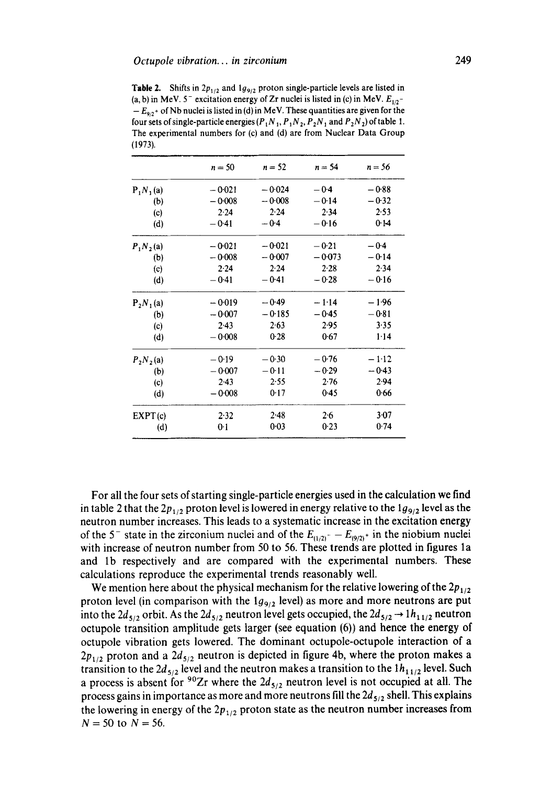**Table 2.** Shifts in  $2p_{1/2}$  and  $1g_{9/2}$  proton single-particle levels are listed in (a, b) in MeV.  $5^-$  excitation energy of Zr nuclei is listed in (c) in MeV.  $E_{1/2}$ - $-E_{9/2}$ <sup>+</sup> of Nb nuclei is listed in (d) in MeV. These quantities are given for the four sets of single-particle energies  $(P_1N_1, P_1N_2, P_2N_1$  and  $P_2N_2$ ) of table 1. The experimental numbers for (c) and (d) are from Nuclear Data Group (1973).

|             | $n = 50$ | $n = 52$ | $n = 54$ | $n = 56$ |
|-------------|----------|----------|----------|----------|
| $P_1N_1(a)$ | $-0.021$ | $-0.024$ | $-0.4$   | $-0.88$  |
| (b)         | $-0.008$ | $-0.008$ | $-0.14$  | $-0.32$  |
| (c)         | 2.24     | 2.24     | 2.34     | 2.53     |
| (d)         | $-0.41$  | $-0.4$   | $-0.16$  | 0.14     |
| $P_1N_2(a)$ | $-0.021$ | $-0.021$ | $-0.21$  | $-0.4$   |
| (b)         | $-0.008$ | $-0.007$ | $-0.073$ | $-0.14$  |
| (c)         | 2.24     | 2.24     | 2.28     | 2.34     |
| (d)         | $-0.41$  | $-0.41$  | $-0.28$  | $-0.16$  |
| $P_2N_1(a)$ | $-0.019$ | $-0.49$  | $-1.14$  | $-1.96$  |
| (b)         | $-0.007$ | $-0.185$ | $-0.45$  | $-0.81$  |
| (c)         | 2.43     | 2.63     | 2.95     | 3.35     |
| (d)         | $-0.008$ | 0.28     | 0.67     | 1.14     |
| $P_2N_2(a)$ | $-0.19$  | $-0.30$  | $-0.76$  | $-1.12$  |
| (b)         | $-0.007$ | $-0.11$  | $-0.29$  | $-0.43$  |
| (c)         | 2.43     | 2.55     | 2.76     | 2.94     |
| (d)         | $-0.008$ | 0.17     | 0.45     | 0.66     |
| EXPT(c)     | 2.32     | $2-48$   | 2.6      | 3.07     |
| (d)         | 0:1      | 0.03     | 0.23     | 0.74     |

For all the four sets of starting single-particle energies used in the calculation we find in table 2 that the  $2p_{1/2}$  proton level is lowered in energy relative to the  $1g_{9/2}$  level as the neutron number increases. This leads to a systematic increase in the excitation energy of the 5<sup>-</sup> state in the zirconium nuclei and of the  $E_{(1/2)}$ - $E_{(9/2)}$  in the niobium nuclei with increase of neutron number from 50 to 56. These trends are plotted in figures la and lb respectively and are compared with the experimental numbers. These calculations reproduce the experimental trends reasonably well.

We mention here about the physical mechanism for the relative lowering of the  $2p_{1/2}$ proton level (in comparison with the  $1g_{9/2}$  level) as more and more neutrons are put into the  $2d_{5/2}$  orbit. As the  $2d_{5/2}$  neutron level gets occupied, the  $2d_{5/2} \rightarrow 1h_{11/2}$  neutron octupole transition amplitude gets larger (see equation (6)) and hence the energy of octupole vibration gets lowered. The dominant octupole-octupole interaction of a  $2p_{1/2}$  proton and a  $2d_{5/2}$  neutron is depicted in figure 4b, where the proton makes a transition to the  $2d_{5/2}$  level and the neutron makes a transition to the  $1h_{1/2}$  level. Such a process is absent for <sup>90</sup>Zr where the  $2d_{5/2}$  neutron level is not occupied at all. The process gains in importance as more and more neutrons fill the  $2d_{5/2}$  shell. This explains the lowering in energy of the  $2p_{1/2}$  proton state as the neutron number increases from  $N = 50$  to  $N = 56$ .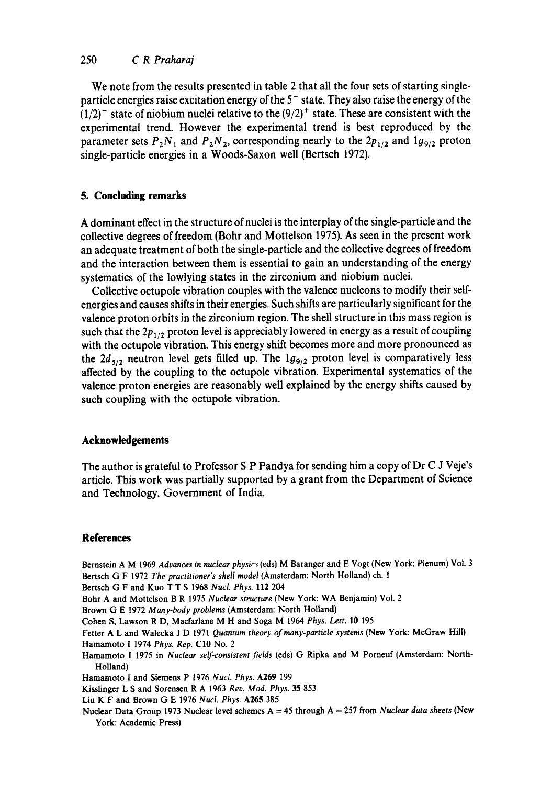## 250 *C R Praharaj*

We note from the results presented in table 2 that all the four sets of starting singleparticle energies raise excitation energy of the  $5<sup>-</sup>$  state. They also raise the energy of the  $(1/2)^{-}$  state of niobium nuclei relative to the  $(9/2)^{+}$  state. These are consistent with the experimental trend. However the experimental trend is best reproduced by the parameter sets  $P_2N_1$  and  $P_2N_2$ , corresponding nearly to the  $2p_{1/2}$  and  $1g_{9/2}$  proton single-particle energies in a Woods-Saxon well (Bertsch 1972).

### **5. Concluding remarks**

A dominant effect in the structure of nuclei is the interplay of the single-particle and the collective degrees of freedom (Bohr and Mottelson 1975). As seen in the present work an adequate treatment of both the single-particle and the collective degrees of freedom and the interaction between them is essential to gain an understanding of the energy systematics of the lowlying states in the zirconium and niobium nuclei.

Collective octupole vibration couples with the valence nucleons to modify their selfenergies and causes shifts in their energies. Such shifts are particularly significant for the valence proton orbits in the zirconium region. The shell structure in this mass region is such that the  $2p_{1/2}$  proton level is appreciably lowered in energy as a result of coupling with the octupole vibration. This energy shift becomes more and more pronounced as the  $2d_{5/2}$  neutron level gets filled up. The  $1g_{9/2}$  proton level is comparatively less affected by the coupling to the octupole vibration. Experimental systematics of the valence proton energies are reasonably well explained by the energy shifts caused by such coupling with the octupole vibration.

### **Acknowledgements**

The author is grateful to Professor S P Pandya for sending him a copy of Dr C J Veje's article. This work was partially supported by a grant from the Department of Science and Technology, Government of India.

#### **References**

Bernstein A M 1969 *Advances in nuclear physics* (eds) M Baranger and E Vogt (New York: Plenum) Vol. 3 Bertsch G F 1972 *The practitioner's shell model* (Amsterdam: North Holland) ch. 1 Bertsch G F and Kuo T T S 1968 *Nucl. Phys.* 112 204

Bohr A and Mottelson B R 1975 *Nuclear structure* (New York: WA Benjamin) Vol. 2

Brown G E 1972 *Many-body problems* (Amsterdam: North Holland)

Cohen S, Lawson R D, Macfarlane M H and Soga M 1964 *Phys. Lett.* 10 195

Fetter A L and Walecka J D 1971 *Quantum theory of many-particle systems* (New York: McGraw Hill) Hamamoto I 1974 *Phys. Rep.* CI0 No. 2

Hamamoto I 1975 in *Nuclear self-consistent fields* (eds) G Ripka and M Porneuf (Amsterdam: North-Holland)

Hamamoto I and Siemens P 1976 *Nucl. Phys.* A269 199

Kisslinger L S and Sorenscn R A 1963 *Rev. Mod. Phys.* 35 853

Liu K F and Brown G E 1976 *Nucl. Phys.* A265 385

Nuclear Data Group 1973 Nuclear level schemes A = 45 through A = 257 from *Nuclear data sheets* (New York: Academic Press)